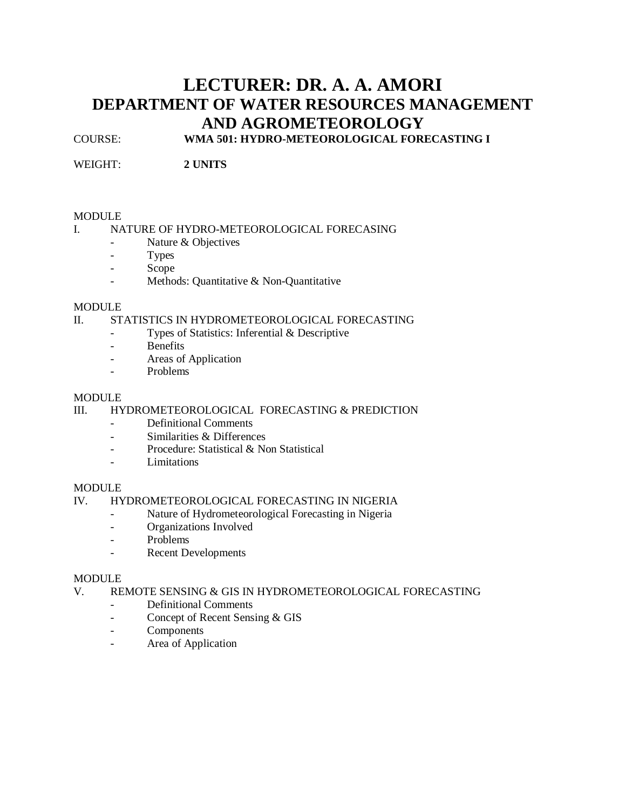# **LECTURER: DR. A. A. AMORI DEPARTMENT OF WATER RESOURCES MANAGEMENT AND AGROMETEOROLOGY**

COURSE: **WMA 501: HYDRO-METEOROLOGICAL FORECASTING I**

WEIGHT: **2 UNITS**

## MODULE

## I. NATURE OF HYDRO-METEOROLOGICAL FORECASING

- Nature & Objectives
- Types
- Scope
- Methods: Quantitative & Non-Quantitative

## **MODULE**

## II. STATISTICS IN HYDROMETEOROLOGICAL FORECASTING

- Types of Statistics: Inferential & Descriptive
- Benefits
- Areas of Application
- Problems

## MODULE<sub>1</sub>

# III. HYDROMETEOROLOGICAL FORECASTING & PREDICTION

- Definitional Comments
- Similarities & Differences
- Procedure: Statistical & Non Statistical
- Limitations

## MODULE

# IV. HYDROMETEOROLOGICAL FORECASTING IN NIGERIA

- Nature of Hydrometeorological Forecasting in Nigeria
- Organizations Involved
- Problems
- Recent Developments

## **MODULE**

## V. REMOTE SENSING & GIS IN HYDROMETEOROLOGICAL FORECASTING

- Definitional Comments
- Concept of Recent Sensing & GIS
- Components
- Area of Application